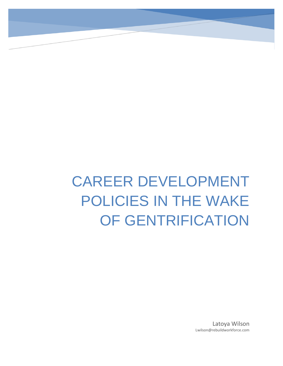# CAREER DEVELOPMENT POLICIES IN THE WAKE OF GENTRIFICATION

Latoya Wilson Lwilson@rebuildworkforce.com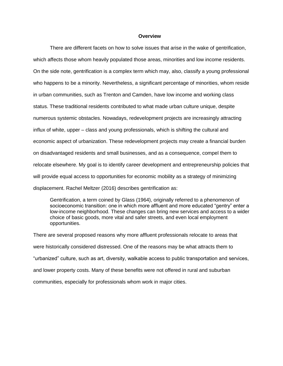#### **Overview**

There are different facets on how to solve issues that arise in the wake of gentrification, which affects those whom heavily populated those areas, minorities and low income residents. On the side note, gentrification is a complex term which may, also, classify a young professional who happens to be a minority. Nevertheless, a significant percentage of minorities, whom reside in urban communities, such as Trenton and Camden, have low income and working class status. These traditional residents contributed to what made urban culture unique, despite numerous systemic obstacles. Nowadays, redevelopment projects are increasingly attracting influx of white, upper – class and young professionals, which is shifting the cultural and economic aspect of urbanization. These redevelopment projects may create a financial burden on disadvantaged residents and small businesses, and as a consequence, compel them to relocate elsewhere. My goal is to identify career development and entrepreneurship policies that will provide equal access to opportunities for economic mobility as a strategy of minimizing displacement. Rachel Meltzer (2016) describes gentrification as:

Gentrification, a term coined by Glass (1964), originally referred to a phenomenon of socioeconomic transition: one in which more affluent and more educated "gentry" enter a low-income neighborhood. These changes can bring new services and access to a wider choice of basic goods, more vital and safer streets, and even local employment opportunities.

There are several proposed reasons why more affluent professionals relocate to areas that were historically considered distressed. One of the reasons may be what attracts them to "urbanized" culture, such as art, diversity, walkable access to public transportation and services, and lower property costs. Many of these benefits were not offered in rural and suburban communities, especially for professionals whom work in major cities.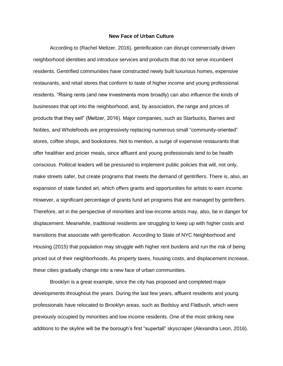### **New Face of Urban Culture**

According to (Rachel Meltzer, 2016), gentrification can disrupt commercially driven neighborhood identities and introduce services and products that do not serve incumbent residents. Gentrified communities have constructed newly built luxurious homes, expensive restaurants, and retail stores that conform to taste of higher income and young professional residents. "Rising rents (and new investments more broadly) can also influence the kinds of businesses that opt into the neighborhood, and, by association, the range and prices of products that they sell" (Meltzer, 2016). Major companies, such as Starbucks, Barnes and Nobles, and Wholefoods are progressively replacing numerous small "community-oriented" stores, coffee shops, and bookstores. Not to mention, a surge of expensive restaurants that offer healthier and pricier meals, since affluent and young professionals tend to be health conscious. Political leaders will be pressured to implement public policies that will, not only, make streets safer, but create programs that meets the demand of gentrifiers. There is, also, an expansion of state funded art, which offers grants and opportunities for artists to earn income. However, a significant percentage of grants fund art programs that are managed by gentrifiers. Therefore, art in the perspective of minorities and low-income artists may, also, be in danger for displacement. Meanwhile, traditional residents are struggling to keep up with higher costs and transitions that associate with gentrification. According to State of NYC Neighborhood and Housing (2015) that population may struggle with higher rent burdens and run the risk of being priced out of their neighborhoods. As property taxes, housing costs, and displacement increase, these cities gradually change into a new face of urban communities.

Brooklyn is a great example, since the city has proposed and completed major developments throughout the years. During the last few years, affluent residents and young professionals have relocated to Brooklyn areas, such as Bedstuy and Flatbush, which were previously occupied by minorities and low income residents. One of the most striking new additions to the skyline will be the borough's first "supertall" skyscraper (Alexandra Leon, 2016).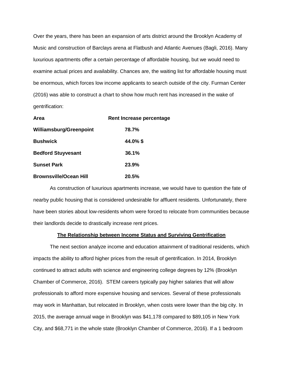Over the years, there has been an expansion of arts district around the Brooklyn Academy of Music and construction of Barclays arena at Flatbush and Atlantic Avenues (Bagli, 2016). Many luxurious apartments offer a certain percentage of affordable housing, but we would need to examine actual prices and availability. Chances are, the waiting list for affordable housing must be enormous, which forces low income applicants to search outside of the city. Furman Center (2016) was able to construct a chart to show how much rent has increased in the wake of gentrification:

| Area                          | <b>Rent Increase percentage</b> |
|-------------------------------|---------------------------------|
| Williamsburg/Greenpoint       | 78.7%                           |
| <b>Bushwick</b>               | 44.0%\$                         |
| <b>Bedford Stuyvesant</b>     | 36.1%                           |
| <b>Sunset Park</b>            | 23.9%                           |
| <b>Brownsville/Ocean Hill</b> | 20.5%                           |

As construction of luxurious apartments increase, we would have to question the fate of nearby public housing that is considered undesirable for affluent residents. Unfortunately, there have been stories about low-residents whom were forced to relocate from communities because their landlords decide to drastically increase rent prices.

### **The Relationship between Income Status and Surviving Gentrification**

The next section analyze income and education attainment of traditional residents, which impacts the ability to afford higher prices from the result of gentrification. In 2014, Brooklyn continued to attract adults with science and engineering college degrees by 12% (Brooklyn Chamber of Commerce, 2016). STEM careers typically pay higher salaries that will allow professionals to afford more expensive housing and services. Several of these professionals may work in Manhattan, but relocated in Brooklyn, when costs were lower than the big city. In 2015, the average annual wage in Brooklyn was \$41,178 compared to \$89,105 in New York City, and \$68,771 in the whole state (Brooklyn Chamber of Commerce, 2016). If a 1 bedroom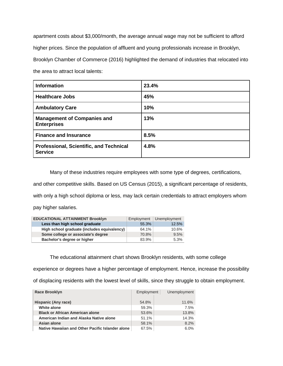apartment costs about \$3,000/month, the average annual wage may not be sufficient to afford higher prices. Since the population of affluent and young professionals increase in Brooklyn, Brooklyn Chamber of Commerce (2016) highlighted the demand of industries that relocated into the area to attract local talents:

| <b>Information</b>                                               | 23.4% |
|------------------------------------------------------------------|-------|
| <b>Healthcare Jobs</b>                                           | 45%   |
| <b>Ambulatory Care</b>                                           | 10%   |
| <b>Management of Companies and</b><br><b>Enterprises</b>         | 13%   |
| <b>Finance and Insurance</b>                                     | 8.5%  |
| <b>Professional, Scientific, and Technical</b><br><b>Service</b> | 4.8%  |

Many of these industries require employees with some type of degrees, certifications, and other competitive skills. Based on US Census (2015), a significant percentage of residents, with only a high school diploma or less, may lack certain credentials to attract employers whom pay higher salaries.

| <b>EDUCATIONAL ATTAINMENT Brooklyn</b>      | Employment | Unemployment |
|---------------------------------------------|------------|--------------|
| Less than high school graduate              | 55.3%      | 12.5%        |
| High school graduate (includes equivalency) | 64.1%      | 10.6%        |
| Some college or associate's degree          | 70.8%      | 9.5%         |
| Bachelor's degree or higher                 | 83.9%      | 5.3%         |

The educational attainment chart shows Brooklyn residents, with some college

experience or degrees have a higher percentage of employment. Hence, increase the possibility

of displacing residents with the lowest level of skills, since they struggle to obtain employment.

| <b>Race Brooklyn</b>                             | Employment | Unemployment |
|--------------------------------------------------|------------|--------------|
| Hispanic (Any race)                              | 54.8%      | 11.6%        |
| White alone                                      | 59.3%      | 7.5%         |
| <b>Black or African American alone</b>           | 53.6%      | 13.8%        |
| American Indian and Alaska Native alone          | 51.1%      | 14.3%        |
| Asian alone                                      | 58.1%      | 8.2%         |
| Native Hawaiian and Other Pacific Islander alone | 67.5%      | 6.0%         |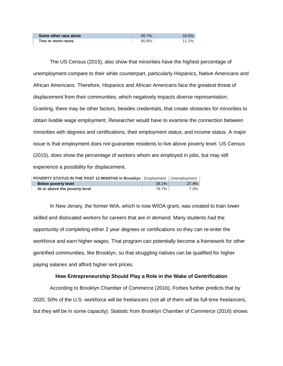| Some other race alone | 55.7% | 10.5%    |
|-----------------------|-------|----------|
| Two or more races     | 60.8% | $11.1\%$ |

The US Census (2015), also show that minorities have the highest percentage of unemployment compare to their white counterpart, particularly Hispanics, Native Americans and African Americans. Therefore, Hispanics and African Americans face the greatest threat of displacement from their communities, which negatively impacts diverse representation. Granting, there may be other factors, besides credentials, that create obstacles for minorities to obtain livable wage employment. Researcher would have to examine the connection between minorities with degrees and certifications, their employment status, and income status. A major issue is that employment does not guarantee residents to live above poverty level. US Census (2015), does show the percentage of workers whom are employed in jobs, but may still experience a possibility for displacement.

| <b>POVERTY STATUS IN THE PAST 12 MONTHS in Brooklyn</b> Employment   Unemployment |       |       |
|-----------------------------------------------------------------------------------|-------|-------|
| <b>Below poverty level</b>                                                        | 36.1% | 27.4% |
| At or above the poverty level                                                     | 76.7% | 7.0%  |

In New Jersey, the former WIA, which is now WIOA grant, was created to train lower skilled and dislocated workers for careers that are in demand. Many students had the opportunity of completing either 2 year degrees or certifications so they can re-enter the workforce and earn higher wages. That program can potentially become a framework for other gentrified communities, like Brooklyn, so that struggling natives can be qualified for higher paying salaries and afford higher rent prices.

## **How Entrepreneurship Should Play a Role in the Wake of Gentrification**

According to Brooklyn Chamber of Commerce (2016), Forbes further predicts that by 2020, 50% of the U.S. workforce will be freelancers (not all of them will be full-time freelancers, but they will be in some capacity). Statistic from Brooklyn Chamber of Commerce (2016) shows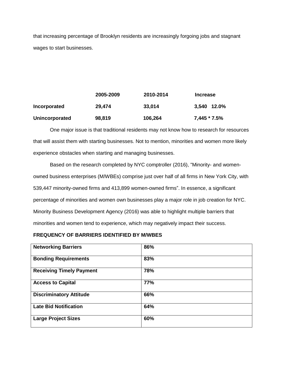that increasing percentage of Brooklyn residents are increasingly forgoing jobs and stagnant wages to start businesses.

|                | 2005-2009 | 2010-2014 | <b>Increase</b> |
|----------------|-----------|-----------|-----------------|
| Incorporated   | 29,474    | 33,014    | 3.540 12.0%     |
| Unincorporated | 98,819    | 106,264   | $7,445 * 7.5%$  |

One major issue is that traditional residents may not know how to research for resources that will assist them with starting businesses. Not to mention, minorities and women more likely experience obstacles when starting and managing businesses.

Based on the research completed by NYC comptroller (2016), "Minority- and womenowned business enterprises (M/WBEs) comprise just over half of all firms in New York City, with 539,447 minority-owned firms and 413,899 women-owned firms". In essence, a significant percentage of minorities and women own businesses play a major role in job creation for NYC. Minority Business Development Agency (2016) was able to highlight multiple barriers that minorities and women tend to experience, which may negatively impact their success.

# **FREQUENCY OF BARRIERS IDENTIFIED BY M/WBES**

| <b>Networking Barriers</b>      | 86%        |
|---------------------------------|------------|
| <b>Bonding Requirements</b>     | 83%        |
| <b>Receiving Timely Payment</b> | 78%        |
| <b>Access to Capital</b>        | <b>77%</b> |
| <b>Discriminatory Attitude</b>  | 66%        |
| <b>Late Bid Notification</b>    | 64%        |
| <b>Large Project Sizes</b>      | 60%        |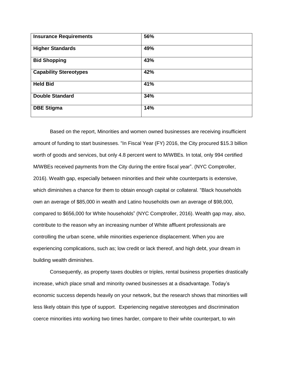| <b>Insurance Requirements</b> | 56% |
|-------------------------------|-----|
| <b>Higher Standards</b>       | 49% |
| <b>Bid Shopping</b>           | 43% |
| <b>Capability Stereotypes</b> | 42% |
| <b>Held Bid</b>               | 41% |
| <b>Double Standard</b>        | 34% |
| <b>DBE Stigma</b>             | 14% |

Based on the report, Minorities and women owned businesses are receiving insufficient amount of funding to start businesses. "In Fiscal Year (FY) 2016, the City procured \$15.3 billion worth of goods and services, but only 4.8 percent went to M/WBEs. In total, only 994 certified M/WBEs received payments from the City during the entire fiscal year". (NYC Comptroller, 2016). Wealth gap, especially between minorities and their white counterparts is extensive, which diminishes a chance for them to obtain enough capital or collateral. "Black households own an average of \$85,000 in wealth and Latino households own an average of \$98,000, compared to \$656,000 for White households" (NYC Comptroller, 2016). Wealth gap may, also, contribute to the reason why an increasing number of White affluent professionals are controlling the urban scene, while minorities experience displacement. When you are experiencing complications, such as; low credit or lack thereof, and high debt, your dream in building wealth diminishes.

Consequently, as property taxes doubles or triples, rental business properties drastically increase, which place small and minority owned businesses at a disadvantage. Today's economic success depends heavily on your network, but the research shows that minorities will less likely obtain this type of support. Experiencing negative stereotypes and discrimination coerce minorities into working two times harder, compare to their white counterpart, to win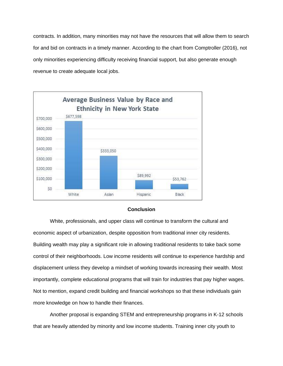contracts. In addition, many minorities may not have the resources that will allow them to search for and bid on contracts in a timely manner. According to the chart from Comptroller (2016), not only minorities experiencing difficulty receiving financial support, but also generate enough revenue to create adequate local jobs.



## **Conclusion**

White, professionals, and upper class will continue to transform the cultural and economic aspect of urbanization, despite opposition from traditional inner city residents. Building wealth may play a significant role in allowing traditional residents to take back some control of their neighborhoods. Low income residents will continue to experience hardship and displacement unless they develop a mindset of working towards increasing their wealth. Most importantly, complete educational programs that will train for industries that pay higher wages. Not to mention, expand credit building and financial workshops so that these individuals gain more knowledge on how to handle their finances.

Another proposal is expanding STEM and entrepreneurship programs in K-12 schools that are heavily attended by minority and low income students. Training inner city youth to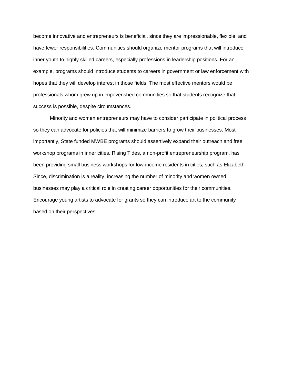become innovative and entrepreneurs is beneficial, since they are impressionable, flexible, and have fewer responsibilities. Communities should organize mentor programs that will introduce inner youth to highly skilled careers, especially professions in leadership positions. For an example, programs should introduce students to careers in government or law enforcement with hopes that they will develop interest in those fields. The most effective mentors would be professionals whom grew up in impoverished communities so that students recognize that success is possible, despite circumstances.

Minority and women entrepreneurs may have to consider participate in political process so they can advocate for policies that will minimize barriers to grow their businesses. Most importantly, State funded MWBE programs should assertively expand their outreach and free workshop programs in inner cities. Rising Tides, a non-profit entrepreneurship program, has been providing small business workshops for low-income residents in cities, such as Elizabeth. Since, discrimination is a reality, increasing the number of minority and women owned businesses may play a critical role in creating career opportunities for their communities. Encourage young artists to advocate for grants so they can introduce art to the community based on their perspectives.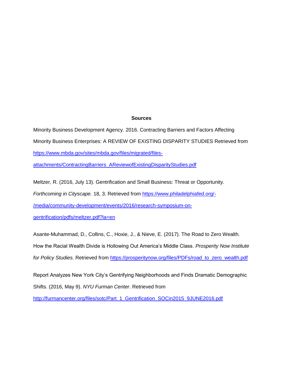## **Sources**

Minority Business Development Agency. 2016. Contracting Barriers and Factors Affecting Minority Business Enterprises: A REVIEW OF EXISTING DISPARITY STUDIES Retrieved from [https://www.mbda.gov/sites/mbda.gov/files/migrated/files-](https://www.mbda.gov/sites/mbda.gov/files/migrated/files-attachments/ContractingBarriers_AReviewofExistingDisparityStudies.pdf)

[attachments/ContractingBarriers\\_AReviewofExistingDisparityStudies.pdf](https://www.mbda.gov/sites/mbda.gov/files/migrated/files-attachments/ContractingBarriers_AReviewofExistingDisparityStudies.pdf)

Meltzer, R. (2016, July 13). Gentrification and Small Business: Threat or Opportunity.

*Forthcoming in Cityscape.* 18, 3. Retrieved from [https://www.philadelphiafed.org/-](https://www.philadelphiafed.org/-/media/community-development/events/2016/research-symposium-on-gentrification/pdfs/meltzer.pdf?la=en)

[/media/community-development/events/2016/research-symposium-on-](https://www.philadelphiafed.org/-/media/community-development/events/2016/research-symposium-on-gentrification/pdfs/meltzer.pdf?la=en)

[gentrification/pdfs/meltzer.pdf?la=en](https://www.philadelphiafed.org/-/media/community-development/events/2016/research-symposium-on-gentrification/pdfs/meltzer.pdf?la=en)

Asante-Muhammad, D., Collins, C., Hoxie, J., & Nieve, E. (2017). The Road to Zero Wealth. How the Racial Wealth Divide is Hollowing Out America's Middle Class. *Prosperity Now Institute for Policy Studies.* Retrieved from [https://prosperitynow.org/files/PDFs/road\\_to\\_zero\\_wealth.pdf](https://prosperitynow.org/files/PDFs/road_to_zero_wealth.pdf)

Report Analyzes New York City's Gentrifying Neighborhoods and Finds Dramatic Demographic Shifts. (2016, May 9). *NYU Furman Center*. Retrieved from

[http://furmancenter.org/files/sotc/Part\\_1\\_Gentrification\\_SOCin2015\\_9JUNE2016.pdf](http://furmancenter.org/files/sotc/Part_1_Gentrification_SOCin2015_9JUNE2016.pdf)